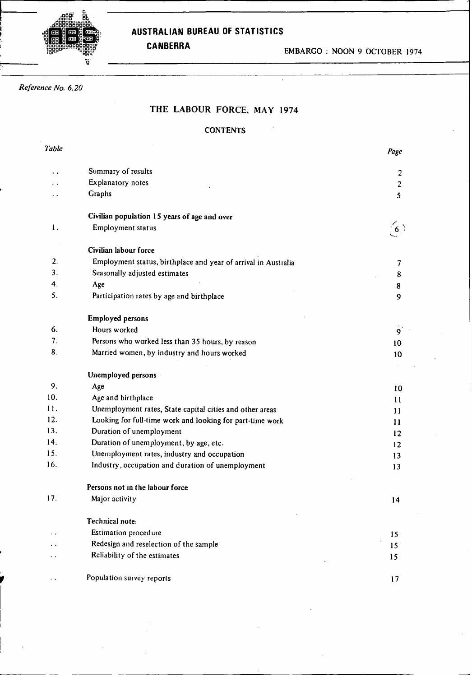# **G oooooo0000. 0 0 Or** ʻĕ

## **;O0 o AUSTRALIAN BUREAU OF STATISTICS**

# *Reference No. 6.20*

## **THE** LABOUR FORCE, MAY **1974**

## **CONTENTS**

| Table |                                                                | Page              |
|-------|----------------------------------------------------------------|-------------------|
|       | Summary of results                                             | $\overline{c}$    |
|       | Explanatory notes                                              | $\overline{c}$    |
|       | Graphs                                                         | 5                 |
|       | Civilian population 15 years of age and over                   |                   |
| 1.    | Employment status                                              |                   |
|       | Civilian labour force                                          |                   |
| 2.    | Employment status, birthplace and year of arrival in Australia | 7                 |
| 3.    | Seasonally adjusted estimates                                  | 8                 |
| 4.    | Age                                                            | 8                 |
| 5.    | Participation rates by age and birthplace                      | 9                 |
|       | <b>Employed persons</b>                                        |                   |
| 6.    | Hours worked                                                   | $\mathbf{9}$      |
| 7.    | Persons who worked less than 35 hours, by reason               | 10                |
| 8.    | Married women, by industry and hours worked                    | 10                |
|       | Unemployed persons                                             |                   |
| 9.    | Age                                                            | 10                |
| 10.   | Age and birthplace                                             | $-11$             |
| 11.   | Unemployment rates, State capital cities and other areas       | 11                |
| 12.   | Looking for full-time work and looking for part-time work      | 11                |
| 13.   | Duration of unemployment                                       | $12 \overline{ }$ |
| 14.   | Duration of unemployment, by age, etc.                         | $12 \overline{ }$ |
| 15.   | Unemployment rates, industry and occupation                    | 13                |
| 16.   | Industry, occupation and duration of unemployment              | 13                |
|       | Persons not in the labour force                                |                   |
| 17.   | Major activity                                                 | 14                |
|       | Technical note:                                                |                   |
|       | Estimation procedure                                           | 15                |
|       | Redesign and reselection of the sample                         | 15                |
|       | Reliability of the estimates                                   | 15                |
|       | Population survey reports                                      | 17                |
|       |                                                                |                   |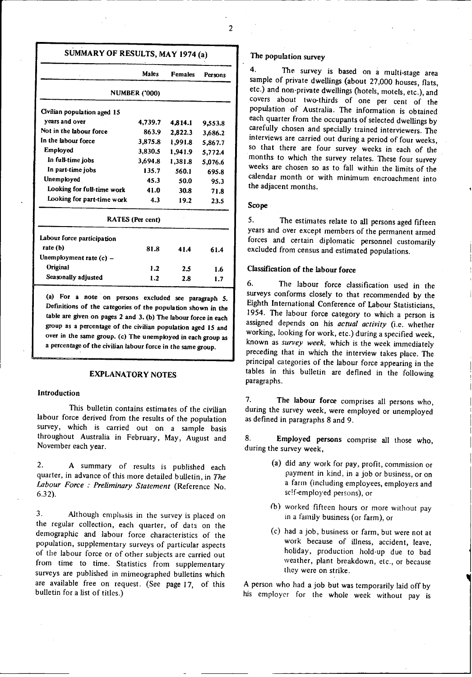## **SUMMARY OF RESULTS, MAY 1974 (a)**

|                             | <b>Males</b>         | <b>Females</b> | Persons |  |  |  |  |  |  |  |
|-----------------------------|----------------------|----------------|---------|--|--|--|--|--|--|--|
|                             | <b>NUMBER ('000)</b> |                |         |  |  |  |  |  |  |  |
| Civilian population aged 15 |                      |                |         |  |  |  |  |  |  |  |
| years and over              | 4.739.7              | 4.814.1        | 9,553.8 |  |  |  |  |  |  |  |
| Not in the labour force     | 863.9                | 2,822.3        | 3,686.2 |  |  |  |  |  |  |  |
| In the labour force         | 3,875.8              | 1,991.8        | 5,867.7 |  |  |  |  |  |  |  |
| Employed                    | 3,830.5              | 1,941.9        | 5,772.4 |  |  |  |  |  |  |  |
| In full-time jobs           | 3,694.8              | 1,381.8        | 5,076.6 |  |  |  |  |  |  |  |
| In part-time jobs           | 135.7                | 560.1          | 695.8   |  |  |  |  |  |  |  |
| Unemployed                  | 45.3                 | 50.0           | 95.3    |  |  |  |  |  |  |  |
| Looking for full-time work  | 41.0                 | 30.8           | 71.8    |  |  |  |  |  |  |  |
| Looking for part-time work  | 4.3                  | 19.2           | 23.5    |  |  |  |  |  |  |  |
|                             | RATES (Per cent)     |                |         |  |  |  |  |  |  |  |
| Labour force participation  |                      |                |         |  |  |  |  |  |  |  |
| rate (b)                    | 81.8                 | 41.4           | 61.4    |  |  |  |  |  |  |  |
| Unemployment rate $(c)$ –   |                      |                |         |  |  |  |  |  |  |  |
| <b>Original</b>             | 1.2                  | 2.5            | 1.6     |  |  |  |  |  |  |  |
| Seasonally adjusted         | 1.2                  | 2.8            | 1.7     |  |  |  |  |  |  |  |
|                             |                      |                |         |  |  |  |  |  |  |  |

**(a) For a note on persons excluded see paragraph 5. Definitions of the categories of the population shown in the table are given on pages 2 and 3. (b) The labour force in each group as a percentage of the civilian population aged 15 and over in the same group. (c) The unemployed in each group as a percentage of the civilian labour force in the same group.**

## **EXPLANATORY NOTES**

#### **Introduction**

This bulletin contains estimates of the civilian labour force derived from the results of the population survey, which is carried out on a sample basis throughout Australia in February, May, August and November each year.

2. A summary of results is published each quarter, in advance of this more detailed bulletin, in *The Labour Force : Preliminary Statement* (Reference No. 6.32).

3. Although emphasis in the survey is placed on the regular collection, each quarter, of data on the demographic and labour force characteristics of the population, supplementary surveys of particular aspects of the labour force or of other subjects are carried out from time to time. Statistics from supplementary surveys are published in mimeographed bulletins which are available free on request. (See page 17, of this bulletin for a list of titles.)

#### **The population survey**

4. The survey is based on a multi-stage area sample of private dwellings (about 27,000 houses, flats, etc.) and non-private dwellings (hotels, motels, etc.), and covers about two-thirds of one per cent of the population of Australia. The information is obtained carefully chosen and specially trained interviewers. The interviews are carried out during a period of four weeks, so that there are four survey weeks in each of the months to which the survey relates. These four survey weeks are chosen so as to fall within the limits of the calendar month or with minimum encroachment into the adjacent months.

#### **Scope**

5. The estimates relate to all persons aged fifteen years and over except members of the permanent armed excluded from census and estimated populations.

## **Classification of the labour force**

6. The labour force classification used in the surveys conforms closely to that recommended by the Eighth International Conference of Labour Statisticians, 1954. The labour force category to which a person is assigned depends on his *actual activity* (i.e. whether working, looking for work, etc.) during a specified week, known as *survey week,* which is the week immediately preceding that in which the interview takes place. The principal categories of the labour force appearing in the tables in this bulletin are defined in the following paragraphs.

7. **The labour force** comprises all persons who, during the survey week, were employed or unemployed as defined in paragraphs 8 and 9.

8. Employed persons comprise all those who, during the survey week,

- (a) did any work for pay, profit, commission or payment in kind, in a job or business, or on a farm (including employees, employers and se!f-employed persons), or
- (b) worked fifteen hours or more without pay in a family business (or farm), or
- (c) had a job, business or farm, but were not at work because of illness, accident, leave, holiday, production hold-up due to bad weather, plant breakdown, etc., or because they were on strike.

A person who had a job but was temporarily laid off by his employer for the whole week without pay is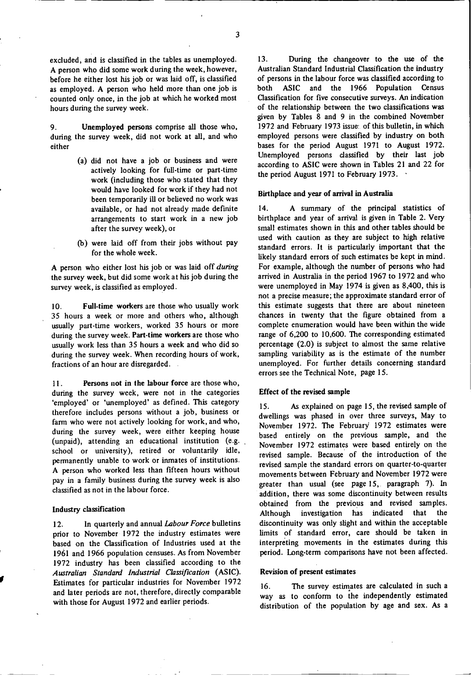excluded, and is classified in the tables as unemployed. A person who did some work during the week, however, before he either lost his job or was laid off, is classified as employed. A person who held more than one job is counted only once, in the job at which he worked most hours during the survey week.

9. during the survey week, did not work at all, and who **either Unemployed persons** comprise all those who,

- (a) did not have a job or business and were actively looking for full-time or part-time work (including those who stated that they would have looked for work if they had not been temporarily ill or believed no work was available, or had not already made definite arrangements to start work in a new job after the survey week), or
- (b) were laid off from their jobs without pay for the whole week.

A person who either lost his job or was laid off *during* the survey week, but did some work at his job during the survey week, is classified as employed.

10. Full-time workers are those who usually work 35 hours a week or more and others who, although usually part-time workers, worked 35 hours or more during the survey week. Part-time workers are those who usually work less than 35 hours a week and who did so during the survey week. When recording hours of work, fractions of an hour are disregarded.

11. **Persons not in the labour force** are those who, during the survey week, were not in the categories 'employed' or 'unemployed' as defined. This category therefore includes persons without a job, business or farm who were not actively looking for work, and who, during the survey week, were either keeping house (unpaid), attending an educational institution (e.g. school or university), retired or voluntarily idle, permanently unable to work or inmates of institutions. A person who worked less than fifteen hours without pay in a family business during the survey week is also classified as not in the labour force.

#### **Industry classification**

12. In quarterly and annual *Labour Force* bulletins prior to November 1972 the industry estimates were based on the Classification of Industries used at the 1961 and 1966 population censuses. As from November 1972 industry has been classified according to the *Australian Standard Industrial Classification* (ASIC). Estimates for particular industries for November 1972 and later periods are not, therefore, directly comparable with those for August 1972 and earlier periods.

13. During the changeover to the use of the Australian Standard Industrial Classification the industry of persons in the labour force was classified according to both ASIC and the 1966 Population Census Classification for five consecutive surveys. An indication of the relationship between the two classifications was given by Tables 8 and 9 in the combined November 1972 and February 1973 issue: of this bulletin, in which employed persons were classified by industry on both bases for the period August 1971 to August 1972. Unemployed persons classified by their last job according to ASIC were shown in Tables 21 and 22 for the period August 1971 to February 1973.

#### **Birthplace and year of arrival in Australia**

14. A summary of the principal statistics of birthplace and year of arrival is given in Table 2. Very small estimates shown in this and other tables should be used with caution as they are subject to high relative standard errors. It is particularly important that the likely standard errors of such **estimates** be kept in mind. For example, although the number of persons who had arrived in Australia in the period 1967 to 1972 and who were unemployed in May 1974 is given as 8,400, this is not a precise measure; the approximate standard error of this estimate suggests that there are about nineteen chances in twenty that the figure obtained from a complete enumeration would have been within the wide range of 6,200 to 10,600. The corresponding estimated percentage (2.0) is subject to almost the **same** relative sampling variability **as is** the estimate of the number unemployed. For further details concerning standard errors see the Technical Note, page 15.

#### **Effect of the revised sample**

15. As explained on page 15, the revised sample of dwellings was phased in over three surveys, May to November 1972. The February 1972 estimates were based entirely on the previous sample, and the November 1972 estimates were based entirely on the revised sample. Because of the introduction of the revised sample the standard errors on quarter-to-quarter movements between February and November 1972 were greater than usual (see page 15,. paragraph 7). In addition, there was some discontinuity between results obtained from the previous and revised samples. Although investigation has indicated that the discontinuity was only slight and within the acceptable limits of standard error, care should be taken in interpreting movements in the estimates during this period. Long-term comparisons have not been affected.

#### **Revision of present estimates**

16. The survey **estimates** are calculated in such a way as to conform to the independently estimated distribution of the population by age and sex. As a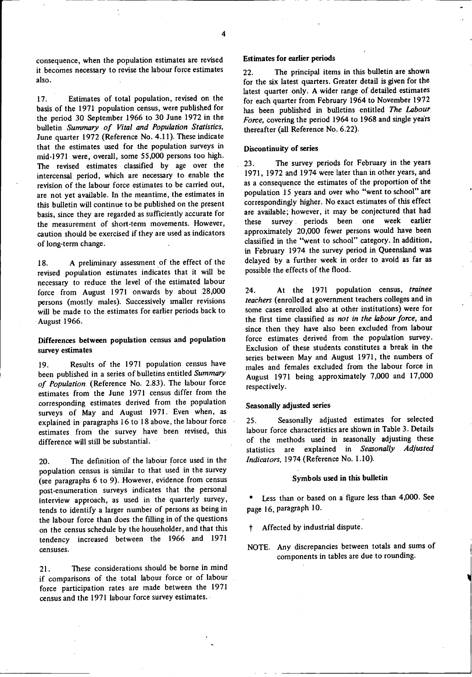consequence, when the population estimates are revised it becomes necessary to revise the labour force estimates also.

17. Estimates of total population, revised on the basis of the 1971 population census, were published for the period 30 September 1966 to 30 June 1972 in the bulletin *Summary of Vital and Population Statistics,* June quarter 1972 (Reference No. 4.11). These indicate that the estimates used for the population surveys in mid-1971 were, overall, some 55,000 persons too high. The revised estimates classified by age over the intercensal period, which are necessary to enable the revision of the labour force estimates to be carried out, are not yet available. In the meantime, the estimates in this bulletin will continue to be published on the present basis, since they are regarded as sufficiently accurate for the measurement of short-term movements. However, caution should be exercised if they are used as indicators of long-term change.

18. A preliminary assessment of the effect of the revised population estimates indicates that it will be necessary to reduce the level of-the estimated labour force from August 1971 onwards by about 28,000 persons (mostly males). Successively smaller revisions will be made to the estimates for earlier periods back to August 1966.

## **Differences between population census and population** survey **estimates**

19. Results of the 1971 population census have been published **in** a series of bulletins entitled *Summary of Population* (Reference No. 2.83). The labour force estimates from the June 1971 census differ from the corresponding estimates derived from the population surveys of May and August 1971. Even when, as explained in paragraphs 16 to 18 above, the labour force estimates from the survey have been revised, this difference will still be substantial.

20. The definition of the labour force used in the population census is similar to that used in the survey (see paragraphs 6 to 9). However, evidence from census post-enumeration surveys indicates that the personal interview approach, as used in the quarterly survey, tends to identify a larger number of persons as being in the labour force than does the filling in of the questions on the census schedule by the householder, and that this tendency increased between the 1966 and 1971 censuses.

21. These considerations should be borne in mind if comparisons of the total labour force or of labour force participation rates are made between the 1971 census and the 1971 labour force survey estimates.

#### **Estimates for earlier periods**

22. The principal items in this bulletin are shown for the six latest quarters. Greater detail is given for the latest quarter only. A wider range of detailed **estimates** for each quarter from February 1964 to November 1972 has been published in bulletins entitled *The Labour Force,* covering the period 1964 to 1968 and single years thereafter (all Reference No. 6.22).

#### **Discontinuity of series**

23. The survey periods for February in the years 1971, 1972 and 1974 were later than in other years, and as a consequence the estimates of the proportion of the population 15 years and over who "went to school" are correspondingly higher. No exact estimates of this effect are available; however, it may be conjectured that had these survey . periods been one week earlier approximately 20,000 fewer persons would have been classified in the "went to school" category. In addition, in February 1974 the survey period in Queensland was delayed by a further week in order to avoid as far as possible the effects of the flood.

24. At the 1971 population **census,** *trainee teachers* (enrolled at government teachers colleges and in some cases enrolled also at other institutions) were for the first time classified **as** *not in the labour force,* and since then they have also been excluded from labour force estimates derived from the population survey. Exclusion of these students constitutes a break in the series between May and August 1971, the numbers of males and females excluded from the labour force in August 1971 being approximately 7,000 and 17,000 respectively.

#### **Seasonally adjusted series**

25. Seasonally adjusted estimates for selected labour force characteristics are shown in Table 3. Details of the methods used in seasonally adjusting these statistics are explained in *Seasonally Adjusted Indicators,* 1974 (Reference No. 1.10).

#### Symbols **used** in **this bulletin**

Less than or based on a figure less than 4,000. See page 16, paragraph 10.

Affected by industrial dispute.

NOTE. Any discrepancies between totals and sums of components in tables are due to rounding.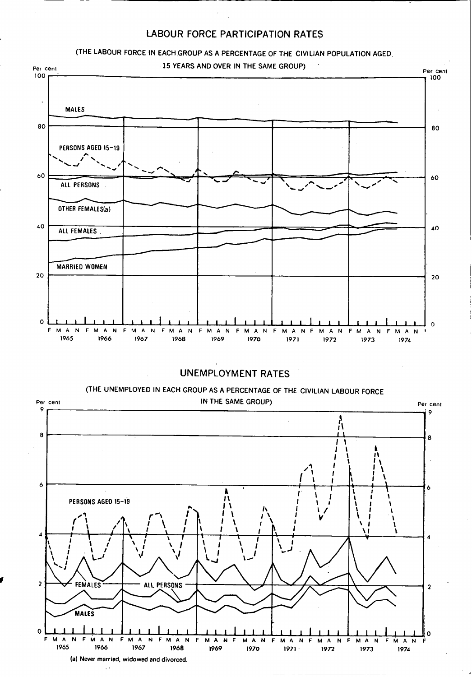## LABOUR FORCE PARTICIPATION RATES



**(a) Never married, widowed and divorced.**

 $\sim$   $\sim$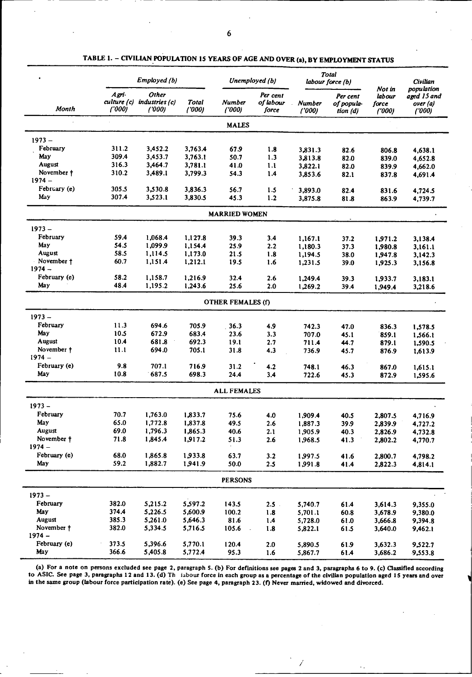|                        |                 | Employed (b)                                 |                 |                          | Unemployed (b)                 |                         | <b>Total</b><br>labour force (b)   |                                     | Civilian                                      |
|------------------------|-----------------|----------------------------------------------|-----------------|--------------------------|--------------------------------|-------------------------|------------------------------------|-------------------------------------|-----------------------------------------------|
| <b>Month</b>           | Agri-<br>('000) | Other<br>culture (c) industries (c)<br>(000) | Total<br>('000) | Number<br>('000)         | Per cent<br>of labour<br>force | <b>Number</b><br>(1000) | Per cent<br>of popula-<br>tion (d) | Not in<br>labour<br>force<br>('000) | population<br>aged 15 and<br>over(a)<br>(000) |
|                        |                 |                                              |                 | <b>MALES</b>             |                                |                         |                                    |                                     |                                               |
| $1973 -$               |                 |                                              |                 |                          |                                |                         |                                    |                                     |                                               |
| February               | 311.2           | 3,452.2                                      | 3,763.4         | 67.9                     | 1.8                            | 3.831.3                 | 82.6                               | 806.8                               | 4,638.1                                       |
| May                    | 309.4           | 3,453.7                                      | 3,763.1         | 50.7                     | 1.3                            | 3,813.8                 | 82.0                               | 839.0                               | 4,652.8                                       |
| August                 | 316.3           | 3,464.7                                      | 3,781.1         | 41.0                     | 1.1                            | 3,822.1                 | 82.0                               | 839.9                               | 4,662.0                                       |
| November †             | 310.2           | 3,489.1                                      | 3,799.3         | 54.3                     | 1.4                            | 3.853.6                 | 82.1                               | 837.8                               | 4,691.4                                       |
| $1974 -$               |                 |                                              |                 |                          |                                |                         |                                    |                                     |                                               |
| February (e)           | 305.5           | 3,530.8                                      | 3,836.3         | 56.7                     | 1.5                            | 3,893.0                 | 82.4                               | 831.6                               | 4,724.5                                       |
| May                    | 307.4           | 3,523.1                                      | 3,830.5         | 45.3                     | 1.2                            | 3,875.8                 | 81.8                               | 863.9                               | 4,739.7                                       |
|                        |                 |                                              |                 | <b>MARRIED WOMEN</b>     |                                |                         |                                    |                                     |                                               |
| $1973 -$               |                 |                                              |                 |                          |                                |                         |                                    |                                     |                                               |
| February               | 59.4            | 1,068.4                                      | 1,127.8         | 39.3                     | 3.4                            | 1.167.1                 | 37.2                               | 1,971.2                             | 3,138.4                                       |
| May                    | 54.5            | 1,099.9                                      | 1,154.4         | 25.9                     | 2.2                            | 1,180.3                 | 37.3                               | 1,980.8                             | 3,161.1                                       |
| August                 | 58.5            | 1,114.5                                      | 1,173.0         | 21.5                     | 1.8                            | 1,194.5                 | 38.0                               | 1,947.8                             | 3,142.3                                       |
| November +             | 60.7            | 1,151.4                                      | 1,212.1         | 19.5                     | 1.6                            | 1,231.5                 | 39.0                               | 1,925.3                             | 3,156.8                                       |
| $1974 -$               |                 |                                              |                 |                          |                                |                         |                                    |                                     |                                               |
| February (e)           | 58.2            | 1,158.7                                      | 1.216.9         | 32.4                     | 2.6                            | 1,249.4                 | 39.3                               | 1,933.7                             | 3,183.1                                       |
| May                    | 48.4            | 1,195.2                                      | 1,243.6         | 25.6                     | 2.0                            | 1,269.2                 | 39.4                               | 1,949.4                             | 3,218.6                                       |
|                        |                 |                                              |                 | <b>OTHER FEMALES (f)</b> |                                |                         |                                    |                                     |                                               |
| $1973 -$               |                 |                                              |                 |                          |                                |                         |                                    |                                     |                                               |
| February               | 11.3            | 694.6                                        | 705.9           | 36.3                     | 4.9                            | 742.3                   | 47.0                               | 836.3                               |                                               |
| May                    | 10.5            | 672.9                                        | 683.4           | 23.6                     | 3.3                            | 707.0                   | 45.1                               | 859.1                               | 1,578.5<br>1,566.1                            |
| August                 | 10.4            | 681.8                                        | 692.3           | 19.1                     | 2.7                            | 711.4                   | 44.7                               | 879.1                               | 1,590.5                                       |
| November †             | 11.1            | 694.0                                        | 705.1           | 31.8                     | 4.3                            | 736.9                   | 45.7                               | 876.9                               | 1,613.9                                       |
| $1974 -$               |                 |                                              |                 |                          |                                |                         |                                    |                                     |                                               |
| February (e)           | 9.8             | 707.1                                        | 716.9           | 31.2                     | 4.2                            | 748.1                   | 46.3                               | 867.0                               | 1,615.1                                       |
| May                    | 10.8            | 687.5                                        | 698.3           | 24.4                     | 3.4                            | 722.6                   | 45.3                               | 872.9                               | 1,595.6                                       |
|                        |                 |                                              |                 | <b>ALL FEMALES</b>       |                                |                         |                                    |                                     |                                               |
|                        |                 |                                              |                 |                          |                                |                         |                                    |                                     |                                               |
| $1973 -$               |                 |                                              |                 |                          |                                |                         |                                    |                                     |                                               |
| February               | 70.7            | 1,763.0                                      | 1,833.7         | 75.6                     | 4.0                            | 1,909.4                 | 40.5                               | 2,807.5                             | 4,716.9                                       |
| May                    | 65.0            | 1,772.8                                      | 1,837.8         | 49.5                     | 2.6                            | 1,887.3                 | 39.9                               | 2,839.9                             | 4,727.2                                       |
| August                 | 69.0            | 1,796.3                                      | 1,865.3         | 40.6                     | 2.1                            | 1,905.9                 | 40.3                               | 2,826.9                             | 4,732.8                                       |
| November †<br>$1974 -$ | 71.8            | 1,845.4                                      | 1,917.2         | 51.3                     | 2.6                            | 1,968.5                 | 41.3                               | 2,802.2                             | 4,770.7                                       |
| February (e)           | 68.0            | 1,865.8                                      | 1,933.8         |                          |                                |                         |                                    |                                     |                                               |
| May                    | 59.2            | 1,882.7                                      | 1,941.9         | 63.7<br>50.0             | 3.2<br>2.5                     | 1,997.5<br>1,991.8      | 41.6<br>41.4                       | 2,800.7<br>2,822.3                  | 4,798.2<br>4,814.1                            |
|                        |                 |                                              |                 |                          |                                |                         |                                    |                                     |                                               |
|                        |                 |                                              |                 | <b>PERSONS</b>           |                                |                         |                                    |                                     |                                               |
| $1973 -$               |                 |                                              |                 |                          |                                |                         |                                    |                                     |                                               |
| February               | 382.0           | 5,215.2                                      | 5,597.2         | 143.5                    | 2.5                            | 5,740.7                 | 61.4                               | 3,614.3                             | 9,355.0                                       |
| May                    | 374.4           | 5,226.5                                      | 5,600.9         | 100.2                    | 1.8                            | 5,701.1                 | 60.8                               | 3,678.9                             | 9,380.0                                       |
| August                 | 385.3           | 5,261.0                                      | 5,646.3         | 81.6                     | 1.4                            | 5,728.0                 | 61.0                               | 3,666.8                             | 9,394.8                                       |
| November †             | 382.0           | 5,334.5                                      | 5,716.5         | 105.6                    | 1.8                            | 5,822.1                 | 61.5                               | 3,640.0                             | 9,462.1                                       |
| $1974 -$               |                 |                                              |                 |                          |                                |                         |                                    |                                     |                                               |
| February (e)           | 373.5           | 5,396.6                                      | 5,770.1         | 120.4                    | 2.0                            | 5,890.5                 | 61.9                               | 3,632.3                             | 9,522.7                                       |
| May                    | 366.6           | 5,405.8                                      | 5,772.4         | 95.3                     | 1.6                            | 5,867.7                 | 61.4                               | 3,686.2                             | 9,553.8                                       |

TABLE 1. - CIVILIAN POPULATION 15 YEARS OF AGE AND OVER (a), BY EMPLOYMENT **STATUS**

(a) For **a note on persons excluded see page 2, paragraph S. (b) For definitions see pages 2 and 3, paragraphs 6 to 9. (c) Classified according** to ASIC. **See page** 3, **paragraphs 12 and 13.** (d) Th labour **force in each group as a percentage of the civilian population aged 15 years and over in the same group (labour force participation rate). (e) See page 4, paragraph** 23. **(f)** Never **married, widowed and divorced.**

1

 $\ddotsc$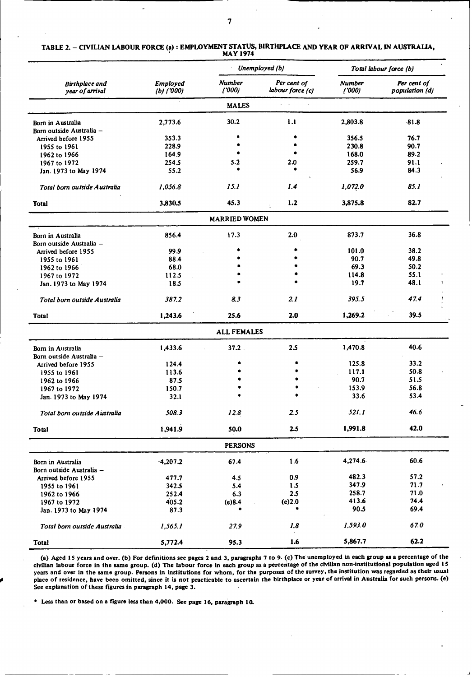| TABLE 2. – CIVILIAN LABOUR FORCE (a) : EMPLOYMENT STATUS, BIRTHPLACE AND YEAR OF ARRIVAL IN AUSTRALIA,<br><b>MAY 1974</b> |
|---------------------------------------------------------------------------------------------------------------------------|
|                                                                                                                           |

|                                          |                                 |                        | Unemployed (b)                  | Total labour force (b) |                               |  |
|------------------------------------------|---------------------------------|------------------------|---------------------------------|------------------------|-------------------------------|--|
| <b>Birthplace</b> and<br>year of arrival | <b>Employed</b><br>$(b)$ ('000) | <b>Number</b><br>(000) | Per cent of<br>labour force (c) | <b>Number</b><br>(000) | Per cent of<br>population (d) |  |
|                                          |                                 | <b>MALES</b>           |                                 |                        |                               |  |
| Born in Australia                        | 2,773.6                         | 30.2                   | 1.1                             | 2,803.8                | $-81.8$                       |  |
| Born outside Australia -                 |                                 |                        |                                 |                        |                               |  |
| Arrived before 1955                      | 353.3                           |                        |                                 | 356.5                  | 76.7                          |  |
| 1955 to 1961                             | 228.9                           |                        |                                 | 230.8                  | 90.7                          |  |
| 1962 to 1966                             | 164.9                           |                        |                                 | 168.0                  | 89.2                          |  |
| 1967 to 1972                             | 254.5                           | 5.2                    | 2.0                             | 259.7                  | 91.1                          |  |
| Jan. 1973 to May 1974                    | 55.2                            |                        |                                 | 56.9                   | 84.3                          |  |
| Total born outside Australia             | 1,056.8                         | 15.1                   | 1.4                             | 1,072.0                | 85.1                          |  |
| <b>Total</b>                             | 3,830.5                         | 45.3                   | 1.2                             | 3,875.8                | 82.7                          |  |
|                                          |                                 | <b>MARRIED WOMEN</b>   |                                 |                        |                               |  |
| Born in Australia                        | 856.4                           | 17.3                   | 2.0                             | 873.7                  | 36.8                          |  |
| Born outside Australia -                 |                                 |                        |                                 |                        |                               |  |
| Arrived before 1955                      | 99.9                            |                        |                                 | 101.0                  | 38.2                          |  |
| 1955 to 1961                             | 88.4                            |                        |                                 | 90.7                   | 49.8                          |  |
| 1962 to 1966                             | 68.0                            |                        |                                 | 69.3                   | 50.2                          |  |
| 1967 to 1972                             | 112.5                           |                        |                                 | 114.8                  | 55.1                          |  |
| Jan. 1973 to May 1974                    | 18.5                            |                        |                                 | 19.7                   | 48.1                          |  |
| Total born outside Australia             | 387.2                           | 83                     | 2.1                             | 395.5                  | 47.4                          |  |
| Total                                    | 1,243.6                         | 25.6                   | 2.0                             | 1,269.2                | 39.5                          |  |
|                                          |                                 | <b>ALL FEMALES</b>     |                                 |                        |                               |  |
| Born in Australia                        | 1,433.6                         | 37.2                   | 2.5                             | 1,470.8                | 40.6                          |  |
| Born outside Australia -                 |                                 |                        |                                 |                        |                               |  |
| Arrived before 1955                      | .124.4                          |                        | $\bullet$                       | 125.8                  | 33.2                          |  |
| 1955 to 1961                             | 113.6                           |                        |                                 | 117.1                  | 50.8                          |  |
| 1962 to 1966                             | 87.5                            |                        |                                 | 90.7                   | 51.5                          |  |
| 1967 to 1972                             | 150.7                           |                        |                                 | 153.9                  | 56.8                          |  |
| Jan. 1973 to May 1974                    | 32.1                            |                        |                                 | 33.6                   | 53.4                          |  |
| Total born outside Australia             | 508.3                           | 12.8                   | 2.5                             | 521.1                  | 46.6                          |  |
| Total                                    | 1,941.9                         | 50.0                   | 2.5                             | 1,991.8                | 42.0                          |  |
|                                          |                                 | <b>PERSONS</b>         |                                 |                        |                               |  |
| Born in Australia                        | $-4,207.2$                      | 67.4                   | 1.6                             | 4,274.6                | 60.6                          |  |
| Born outside Australia -                 |                                 |                        |                                 |                        |                               |  |
| Arrived before 1955                      | 477.7                           | 4.5                    | 0.9                             | 482.3                  | 57.2                          |  |
| 1955 to 1961                             | 342.5                           | 5.4                    | 1.5                             | 347.9                  | 71.7                          |  |
| 1962 to 1966                             | 252.4                           | 6.3                    | 2.5                             | 258.7                  | 71.0                          |  |
| 1967 to 1972                             | 405.2                           | (e)8.4                 | (e)2.0                          | 413.6                  | 74.4                          |  |
| Jan. 1973 to May 1974                    | 87.3                            | ۰                      | ۰                               | 90.5                   | 69.4                          |  |
| Total born outside Australia             | 1,565.1                         | 27.9                   | 1.8                             | 1,593.0                | 67.0                          |  |
| <b>Total</b>                             | 5,772.4                         | 95.3                   | 1.6                             | 5,867.7                | 62.2                          |  |

(a) Aged **15** years and over. (b) For definitions see pages 2 and 3, paragraphs **7** to 9. (c) The unemployed in each group as a percentage of the civilian labour force in the same group. **(d)** The labour force in each group as a percentage of the civilian non-institutional population aged IS years **and** over in the same group. Persons in Institutions for whom, for the purposes of the survey, the institution was regarded as their **usual** place of residence, have been omitted, since it is not practicable to ascertain the birthplace or year of arrival in Australia for such persons. (e) See explanation of these figures in paragraph 14, page 3.

**a** Less than or based on a figure less than 4,000. See page **16,** paragraph 10.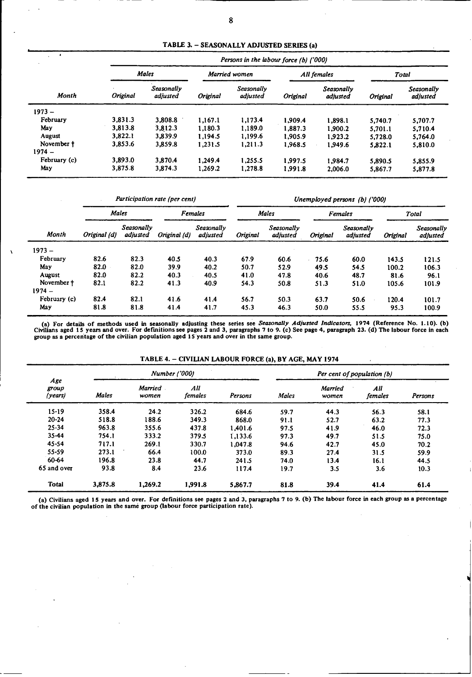| TABLE 3. - SEASONALLY ADJUSTED SERIES (a) |  |  |
|-------------------------------------------|--|--|
|-------------------------------------------|--|--|

| $\mathbf{r}$ | Persons in the labour force (b) ('000) |                        |               |                        |                 |                        |          |                               |  |  |
|--------------|----------------------------------------|------------------------|---------------|------------------------|-----------------|------------------------|----------|-------------------------------|--|--|
|              | <b>Males</b>                           |                        | Married women |                        | All females     |                        | Total    |                               |  |  |
| Month        | <b>Original</b>                        | Seasonally<br>adjusted | Original      | Seasonally<br>adjusted | <b>Original</b> | Seasonally<br>adjusted | Original | <b>Seasonally</b><br>adjusted |  |  |
| $1973 -$     |                                        |                        |               |                        |                 |                        |          |                               |  |  |
| February     | 3,831.3                                | 3.808.8                | 1.167.1       | 1.173.4                | 1,909.4         | 1,898.1                | 5.740.7  | 5,707.7                       |  |  |
| May          | 3,813.8                                | 3,812.3                | 1.180.3       | 1,189.0                | 1,887.3         | 1.900.2                | 5.701.1  | 5,710.4                       |  |  |
| August       | 3.822.1                                | 3.839.9                | 1.194.5       | 1.199.6                | 1.905.9         | 1.923.2                | 5,728.0  | 5,764.0                       |  |  |
| November †   | 3.853.6                                | 3,859.8                | 1.231.5       | 1,211.3                | 1.968.5         | 1.949.6                | 5,822.1  | 5,810.0                       |  |  |
| $1974 -$     |                                        |                        |               |                        |                 |                        |          |                               |  |  |
| February (c) | 3,893.0                                | 3.870.4                | 1.249.4       | 1.255.5                | 1.997.5         | 1.984.7                | 5.890.5  | 5.855.9                       |  |  |
| May          | 3,875.8                                | 3.874.3                | 1.269.2       | 1,278.8                | 1,991.8         | 2,006.0                | 5,867.7  | 5,877.8                       |  |  |

|              | Participation rate (per cent) |                               |              |                        | Unemployed persons (b) ('000) |                        |          |                        |          |                        |  |
|--------------|-------------------------------|-------------------------------|--------------|------------------------|-------------------------------|------------------------|----------|------------------------|----------|------------------------|--|
|              | <b>Males</b>                  |                               |              | <b>Females</b>         |                               | <b>Males</b>           |          | Females                |          | Total                  |  |
| Month        | Original (d)                  | Seasonally<br><i>adiusted</i> | Original (d) | Seasonally<br>adjusted | Original                      | Seasonally<br>adjusted | Original | Seasonally<br>adjusted | Original | Seasonally<br>adjusted |  |
| $1973 -$     |                               |                               |              |                        |                               |                        |          |                        |          |                        |  |
| February     | 82.6                          | 82.3                          | 40.5         | 40.3                   | 67.9                          | 60.6                   | 75.6     | 60.0                   | 143.5    | 121.5                  |  |
| May          | 82.0                          | 82.0                          | 39.9         | 40.2                   | 50.7                          | 52.9                   | 49.5     | 54.5                   | 100.2    | 106.3                  |  |
| August       | 82.0                          | 82.2                          | 40.3         | 40.5                   | 41.0                          | 47.8                   | 40.6     | 48.7                   | 81.6     | 96.1                   |  |
| November †   | 82.1                          | 82.2                          | 41.3         | 40.9                   | 54.3                          | 50.8                   | 51.3     | 51.0                   | 105.6    | 101.9                  |  |
| $1974 -$     |                               |                               |              |                        |                               |                        |          |                        |          |                        |  |
| February (c) | 82.4                          | 82.1                          | 41.6         | 41.4                   | 56.7                          | 50.3                   | 63.7     | 50.6                   | 120.4    | 101.7                  |  |
| May          | 81.8                          | 81.8                          | 41.4         | 41.7                   | 45.3                          | 46.3                   | 50.0     | 55.5                   | 95.3     | 100.9                  |  |

(a) For details of methods used in seasonally adjusting these series see Seasonally Adjusted Indicators, 1974 (Reference No. 1.10). (b)<br>Civilians aged 15 years and over. For definitions see pages 2 and 3, paragraphs 7 to 9

TABLE 4. - CIVILIAN LABOUR FORCE (a), BY AGE, MAY 1974

|                         |              | <b>Number</b> ('000) |                |         | Per cent of population (b) |                         |                |         |  |
|-------------------------|--------------|----------------------|----------------|---------|----------------------------|-------------------------|----------------|---------|--|
| Age<br>group<br>(years) | <b>Males</b> | Married<br>women     | All<br>females | Persons | Males                      | <b>Married</b><br>women | All<br>females | Persons |  |
| $15 - 19$               | 358.4        | 24.2                 | 326.2          | 684.6   | 59.7                       | 44.3                    | 56.3           | 58.1    |  |
| $20 - 24$               | 518.8        | 188.6                | 349.3          | 868.0   | 91.1                       | 52.7                    | 63.2           | 77.3    |  |
| $25 - 34$               | 963.8        | 355.6                | 437.8          | 1.401.6 | 97.5                       | 41.9                    | 46.0           | 72.3    |  |
| 35-44                   | 754.1        | 333.2                | 379.5          | 1.133.6 | 97.3                       | 49.7                    | 51.5           | 75.0    |  |
| 45-54                   | 717.1        | 269.1                | 330.7          | 1.047.8 | 94.6                       | 42.7                    | 45.0           | 70.2    |  |
| $55 - 59$               | 273.1        | 66.4                 | 100.0          | 373.0   | 89.3                       | 27.4                    | 31.5           | 59.9    |  |
| 60-64                   | 196.8        | 23.8                 | 44.7           | 241.5   | 74.0                       | 13.4                    | 16.1           | 44.5    |  |
| 65 and over             | 93.8         | 8.4                  | 23.6           | 117.4   | 19.7                       | 3.5                     | 3.6            | 10.3    |  |
| <b>Total</b>            | 3,875.8      | 1,269.2              | 1,991.8        | 5,867.7 | 81.8                       | 39.4                    | 41.4           | 61.4    |  |

(a) Civilians aged 15 years and over. For definitions see pages 2 and 3, paragraphs 7 to 9. (b) The labour force in each group as a percentage of the civilian population in the same group (labour force participation rate).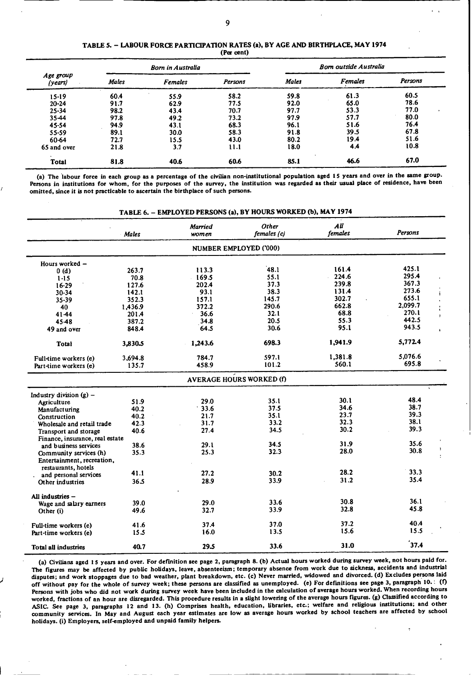| TABLE 5. – LABOUR FORCE PARTICIPATION RATES (a), BY AGE AND BIRTHPLACE, MAY 1974 |
|----------------------------------------------------------------------------------|
| (Per cent)                                                                       |

|                                      |       | <b>Born in Australia</b> |         | <b>Bom outside Australia</b> |                |         |  |  |
|--------------------------------------|-------|--------------------------|---------|------------------------------|----------------|---------|--|--|
| Age group<br>(years)                 | Males | <b>Females</b>           | Persons | Males                        | <b>Females</b> | Persons |  |  |
| $15-19$                              | 60.4  | 55.9                     | 58.2    | 59.8                         | 61.3           | 60.5    |  |  |
| $20 - 24$                            | 91.7  | 62.9                     | 77.5    | 92.0                         | 65.0           | 78.6    |  |  |
| $25 - 34$                            | 98.2  | 43.4                     | 70.7    | 97.7                         | 53.3           | 77.0    |  |  |
| 35-44                                | 97.8  | 49.2                     | 73.2    | 97.9                         | 57.7           | 80.0    |  |  |
| 45-54                                | 94.9  | 43.1                     | 68.3    | 96.1                         | 51.6           | 76.4    |  |  |
| 55-59                                | 89.1  | 30.0                     | 58.3    | 91.8                         | 39.5           | 67.8    |  |  |
| 60-64                                | 72.7  | 15.5                     | 43.0    | 80.2                         | 19.4           | 51.6    |  |  |
| 65 and over                          | 21.8  | 3.7                      | 11.1    | 18.0                         | 4.4            | 10.8    |  |  |
| $\ddot{\phantom{1}}$<br><b>Total</b> | 81.8  | 40.6                     | 60.6    | 85.1                         | 46.6           | 67.0    |  |  |

(a) The labour force In each **group** as a percentage of the civilian non-institutional population aged **15** years and over in the same group. Persons in institutions for whom, for the purposes of the survey, the institution was regarded aa their usual **place** of residence, **have** been omitted, since it is not practicable to ascertain the birthplace of such persons.

TABLE 6. - EMPLOYED PERSONS (a), BY HOURS WORKED (b), MAY 1974

|                                 | <b>Males</b> | Married<br>women | Other<br>females (c)            | $\overline{A}$<br>females | Persons               |
|---------------------------------|--------------|------------------|---------------------------------|---------------------------|-----------------------|
|                                 |              |                  | <b>NUMBER EMPLOYED ('000)</b>   |                           |                       |
| Hours worked -                  |              |                  |                                 |                           |                       |
| 0(d)                            | 263.7        | 113.3            | 48.1                            | 161.4                     | 425.1                 |
| $1 - 15$                        | 70.8         | 169.5            | 55.1                            | 224.6                     | 295.4                 |
| $16 - 29$                       | 127.6        | 202.4            | 37.3                            | 239.8                     | 367.3                 |
| 30-34                           | 142.1        | 93.1             | 38.3                            | 131.4                     | 273.6                 |
| 35-39                           | 352.3        | 157.1            | 145.7                           | 302.7                     | 655.1                 |
| 40                              | 1,436.9      | 372.2            | 290.6                           | 662.8                     | 2,099.7               |
| 41-44                           | 201.4        | 36.6             | 32.1                            | 68.8                      | 270.1<br>$\mathbf{r}$ |
| 45-48                           | 387.2        | 34.8             | 20.5                            | 55.3                      | 442.5                 |
| 49 and over                     | 848.4        | 64.5             | 30.6                            | 95.1                      | 943.5<br>$\mathbf{r}$ |
| <b>Total</b>                    | 3,830.5      | 1,243.6          | 698.3                           | 1,941.9                   | 5,772.4               |
|                                 |              | 784.7            | 597.1                           | 1,381.8                   | 5.076.6               |
| Full-time workers (e)           | 3,694.8      | 458.9            | 101.2                           | 560.1                     | 695.8                 |
| Part-time workers (e)           | 135.7        |                  |                                 |                           |                       |
|                                 |              |                  | <b>AVERAGE HOURS WORKED (f)</b> |                           |                       |
| Industry division $(g)$ –       |              |                  |                                 |                           |                       |
| Agriculture                     | 51.9         | 29.0             | 35.1                            | 30.1                      | 48.4                  |
| Manufacturing                   | 40.2         | 33.6             | 37.5                            | 34.6                      | 38.7                  |
| Construction                    | 40.2         | 21.7             | 35.1                            | 23.7                      | 39.3                  |
| Wholesale and retail trade      | 42.3         | 31.7             | 33.2                            | 32.3                      | 38.1                  |
| Transport and storage           | 40.6         | 27.4             | 34.5                            | 30.2                      | 39.3                  |
| Finance, insurance, real estate |              |                  |                                 |                           |                       |
| and business services           | 38.6         | 29.1             | 34.5                            | 31.9                      | 35.6                  |
| Community services (h)          | 35.3         | 25.3             | 32.3                            | 28.0                      | 30.8                  |
| Entertainment, recreation,      |              |                  |                                 |                           |                       |
| restaurants, hotels             |              |                  |                                 |                           |                       |
| and personal services           | 41.1         | 27.2             | 30.2                            | 28.2                      | 33.3                  |
| Other industries                | 36.5         | 28.9             | 33.9                            | 31.2                      | 35.4                  |
| All industries -                |              |                  |                                 |                           |                       |
| Wage and salary earners         | 39.0         | 29.0             | 33.6                            | 30.8                      | 36.1                  |
| Other (i)                       | 49.6         | 32.7             | 33.9                            | 32.8                      | 45.8                  |
| Full-time workers (e)           | 41.6         | 37.4             | 37.0                            | 37.2                      | 40.4                  |
| Part-time workers (e)           | 15.5         | 16.0             | 13.5                            | 15.6                      | 15.5                  |
|                                 |              |                  |                                 |                           | $37.4$                |
| <b>Total all industries</b>     | 40.7         | 29.5             | 33.6                            | 31.0                      |                       |

(a) Civilians aged 15 years and over. For definition see page 2, paragraph 8. (b) Actual hours worked during survey week, not hours paid for. The figures may be affected by public holidays, leave, absenteeism; temporary absence from work due to sickness, accidents and industrial disputes; and work stoppages due to bad weather, plant breakdown, etc. (c) Never married, widowed and divorced. (d) Excludes persons laid off without pay for the whole of survey week; these persona are classified as unemployed. (e) For definitions see page 3, paragraph 10.: **(f)** Persons with jobs who did not work during survey week have been included in the calculation of average hours worked. When recording hours worked, fractions of an **hour** are disregarded. This procedure results in a slight lowering of the average hours figures. (g) **Classified** according to ASIC. **See** page 3, paragraphs 12 and 13. (h) Comprises health, education, libraries, etc.; welfare and religious institutions; and other community services. In May and August each year estimates are low **as** average hours worked by school teachers are affected by school holidays. (i) Employers, self-employed and unpaid family helpers.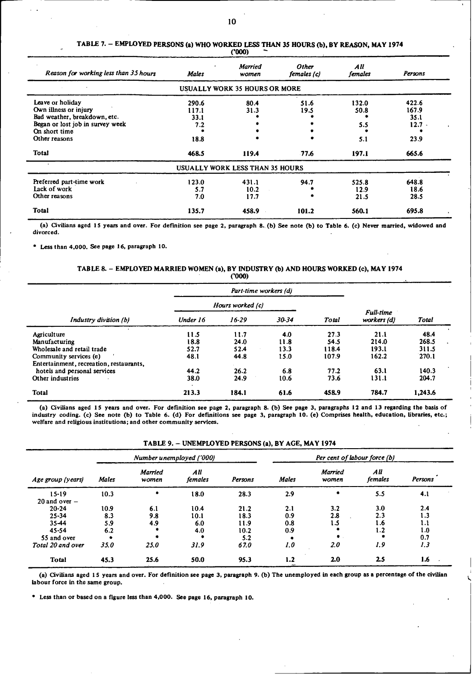| Reason for working less than 35 hours                 | <b>Males</b>  | <b>Married</b><br>women         | Other<br>females (c) | All<br>females | Persons       |
|-------------------------------------------------------|---------------|---------------------------------|----------------------|----------------|---------------|
|                                                       |               | USUALLY WORK 35 HOURS OR MORE   |                      |                |               |
| Leave or holiday                                      | 290.6         | 80.4                            | 51.6                 | 132.0          | 422.6         |
| Own illness or injury<br>Bad weather, breakdown, etc. | 117.1<br>33.1 | 31.3                            | 19.5                 | 50.8           | 167.9<br>35.1 |
| Began or lost job in survey week                      | 7.2           |                                 |                      | 5.5            | $12.7 -$      |
| On short time                                         |               |                                 |                      |                |               |
| Other reasons                                         | 18.8          |                                 |                      | 5.1            | 23.9          |
| <b>Total</b>                                          | 468.5         | 119.4                           | -77.6                | 197.1          | 665.6         |
|                                                       |               | USUALLY WORK LESS THAN 35 HOURS |                      |                |               |
| Preferred part-time work                              | 123.0         | 431.1                           | 94.7                 | 525.8          | 648.8         |
| Lack of work                                          | 5.7           | 10.2                            |                      | 12.9           | 18.6          |
| Other reasons                                         | 7.0           | 17.7                            |                      | 21.5           | 28.5          |
| <b>Total</b>                                          | 135.7         | 458.9                           | 101.2                | 560.1          | 695.8         |

TABLE 7. - EMPLOYED PERSONS (a) WHO WORKED LESS THAN 35 HOURS (b), BY REASON, MAY 1974 ('000)

(a) Civilians aged **15** years and over. For definition see page **2,** paragraph **8.** (b) See note (b) to Table 6. (c) Never married, widowed and divorced.

**"** Less than 4,000. See page 16, paragraph **10.**

#### TABLE 8. - EMPLOYED MARRIED WOMEN (a), BY INDUSTRY (b) AND HOURS WORKED (c), MAY 1974 ('000)

|                                         |                  |           | Part-time workers (d) |       |                                 |         |
|-----------------------------------------|------------------|-----------|-----------------------|-------|---------------------------------|---------|
|                                         | Hours worked (c) |           |                       |       |                                 |         |
| Industry division (b)                   | Under 16         | $16 - 29$ | 30-34                 | Total | <b>Full-time</b><br>workers (d) | Total   |
| Agriculture                             | 11.5             | 11.7      | 4.0                   | 27.3  | 21.1                            | 48.4    |
| Manufacturing                           | 18.8             | 24.0      | 11.8                  | 54.5  | 214.0                           | 268.5   |
| Wholesale and retail trade              | 52.7             | 52.4      | 13.3                  | 118.4 | 193.1                           | 311.5   |
| Community services (e)                  | 48.1             | 44.8      | 15.0                  | 107.9 | 162.2                           | 270.1   |
| Entertainment, recreation, restaurants, |                  |           |                       |       |                                 |         |
| hotels and personal services            | 44.2             | 26.2      | 6.8                   | 77.2  | 63.1                            | 140.3   |
| Other industries                        | 38.0             | 24.9      | 10.6                  | 73.6  | 131.1                           | 204.7   |
| <b>Total</b>                            | 213.3            | 184.1     | 61.6                  | 458.9 | 784.7                           | 1,243.6 |

(a) Civilians aged **15** years and over. For definition see page 2, paragraph 8. (b) See page 3, paragraphs 12 and **13** regarding the basis of industry coding. (c) See note (b) to Table 6. (d) For definitions see page 3, paragraph **10.** (e) Comprises health, education, libraries, etc.; welfare and religious institutions; and other community services.

| Age group (years) |       |                  | Number unemployed ('000) |         |              |                  | Per cent of labour force (b) |         |
|-------------------|-------|------------------|--------------------------|---------|--------------|------------------|------------------------------|---------|
|                   | Males | Married<br>women | All<br>females           | Persons | <b>Males</b> | Married<br>women | All<br>females               | Persons |
| $15 - 19$         | 10.3  |                  | 18.0                     | 28.3    | 2.9          |                  | 5.5                          | 4.1     |
| $20$ and over $-$ |       |                  |                          |         |              |                  |                              |         |
| $20 - 24$         | 10.9  | 6.1              | 10.4                     | 21.2    | 2.1          | 3.2              | 3.0                          | 2.4     |
| $25 - 34$         | 8.3   | 9.8              | 10.1                     | 18.3    | 0.9          | 2.8              | 2.3                          | 1.3     |
| 35-44             | 5.9   | 4.9              | 6.0                      | 11.9    | 0.8          | 1.5              | 1.6                          | 1.1     |
| $45 - 54$         | 6.2   |                  | 4.0                      | 10.2    | 0.9          |                  | 1.2                          | 1.0     |
| 55 and over       |       |                  |                          | 5.2     |              |                  |                              | 0.7     |
| Total 20 and over | 35.0  | 25.0             | 31.9                     | 67.0    | 1.0          | 2.0              | 1.9                          | 1.3     |
| <b>Total</b>      | 45.3  | 25.6             | 50.0                     | 95.3    | 1.2          | 2.0              | 25                           | 1.6     |

TABLE 9. - UNEMPLOYED PERSONS (a), BY AGE, MAY 1974

**(a)** civilians aged **15** years and over. For definition see page 3, paragraph 9. (b) The unemployed In each group as a percentage of the civilian labour force in the same group.

0 Less than or based on a figure less than 4,000. See page 16, paragraph 10.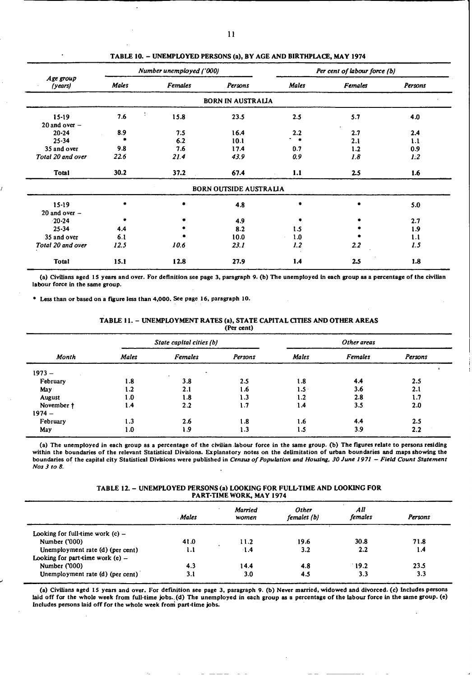|                      |       | Number unemployed ('000) |                               |               | Per cent of labour force (b) |         |
|----------------------|-------|--------------------------|-------------------------------|---------------|------------------------------|---------|
| Age group<br>(years) | Males | <b>Females</b>           | Persons                       | Males         | Females                      | Persons |
|                      |       |                          | <b>BORN IN AUSTRALIA</b>      |               |                              |         |
| 15-19                | 7.6   | 15.8                     | 23.5                          | 2.5           | 5.7                          | 4.0     |
| 20 and over $-$      |       |                          |                               |               |                              |         |
| $20 - 24$            | 8.9   | 7:5                      | 16.4                          | 2.2           | 2.7                          | 2.4     |
| $25 - 34$            |       | 6.2                      | 10.1                          | $\sim$ $\sim$ | 2.1                          | 1.1     |
| 35 and over          | 9.8   | 7.6                      | 17.4                          | 0.7           | 1.2                          | 0.9     |
| Total 20 and over    | 22.6  | 21.4                     | 43.9                          | 0.9           | 1.8                          | 1.2     |
| <b>Total</b>         | 30.2  | 37.2                     | 67.4                          | 1.1           | 2.5                          | 1.6     |
|                      |       |                          | <b>BORN OUTSIDE AUSTRALIA</b> |               |                              |         |
| $15 - 19$            | ۰     |                          | 4.8                           | ۰             | ۰                            | 5.0     |
| 20 and over $-$      |       |                          |                               |               |                              |         |
| $-20 - 24$           |       |                          | 4.9                           |               |                              | 2.7     |
| $25 - 34$            | 4.4   |                          | 8.2                           | 1.5           |                              | 1.9     |
| 35 and over          | 6.1   |                          | 10.0                          | 1.0           |                              | 1.1     |
| Total 20 and over    | 12.5  | 10.6                     | 23.1                          | 1.2           | 2.2                          | 1.5     |
| <b>Total</b>         | 15.1  | 12.8                     | 27.9                          | 1.4           | 2.5                          | 1.8     |

TABLE 10. - UNEMPLOYED PERSONS (a), BY AGE AND BIRTHPLACE, MAY 1974

(a) Civilians aged 15 years **and** over. For definition see page 3, paragraph 9. (b) The unemployed in each group as a percentage of the civilian labour force in the same group.

Less than or based on a figure less than 4,000. See page 16, paragraph **10.**

#### TABLE 11. - UNEMPLOYMENT RATES (a), STATE CAPITAL CITIES AND OTHER AREAS (Per cent)

|              |                | State capital cities (b) |         |       | Other areas    |         |
|--------------|----------------|--------------------------|---------|-------|----------------|---------|
| <b>Month</b> | <b>Males</b>   | <b>Females</b>           | Persons | Males | <b>Females</b> | Persons |
| $1973 -$     |                |                          |         |       |                |         |
| February     | 1.8            | 3.8                      | 2.5     | l.8   | 4.4            | 2.5     |
| May          | 1.2            | 2.1                      | 1.6     | 1.5   | 3.6            | 2.1     |
| August       | 1.0            | 1.8                      | 1.3     | 1.2   | 2.8            | 1.7     |
| November †   | $\mathbf{1.4}$ | 2.2                      | 1.7     | 1.4   | 3.5            | 2.0     |
| $1974 -$     |                |                          |         |       |                |         |
| February     | 1.3            | 2.6                      | 1.8     | 1.6   | 4.4            | 2.5     |
| May          | 0.1            | 1.9                      | 1.3     | 1.5   | 3.9            | 2.2     |

(a) The unemployed in each group as a percentage of the civilian labour force in the same group. (b) The figures relate to persons residing within the boundaries of the relevant Statistical Divisions. Explanatory notes on the delimitation of urban boundaries and maps showing the boundaries of the capital city Statistical Divisions were published in *Census of Population and Housing. 30 June 1971* - *Field Count Statement Nos 3 to 8.*

TABLE 12. - UNEMPLOYED PERSONS (a) LOOKING FOR FULUTIME AND LOOKING FOR PART-TIME WORK, MAY 1974

|                                    | Males | Married<br>women | <b>Other</b><br>females (b) | All<br>females | Persons |
|------------------------------------|-------|------------------|-----------------------------|----------------|---------|
| Looking for full-time work $(c)$ – |       |                  |                             |                |         |
| Number ('000)                      | 41.0  | 11.2             | 19.6                        | 30.8           | 71.8    |
| Unemployment rate (d) (per cent)   | 1.1   | $\cdot 1.4$      | 3.2                         | 2.2            | 1.4     |
| Looking for part-time work $(e)$ – |       |                  |                             |                |         |
| Number ('000)                      | 4.3   | 14.4             | 4.8                         | 19.2           | 23.5    |
| Unemployment rate (d) (per cent)   | 3.1   | 3.0              | 4.5                         | 3.3            | 3.3     |

(a) Civilians aged 15 years and over. For definition see page 3. paragraph 9. (b) Never married, widowed and divorced. (c) Includes persons laid off for the whole week from full-time jobs.. (d) The unemployed in each group as a percentage of the labour force in the same group. (e) Includes persons laid off for the whole week **from** part-time **jobs.**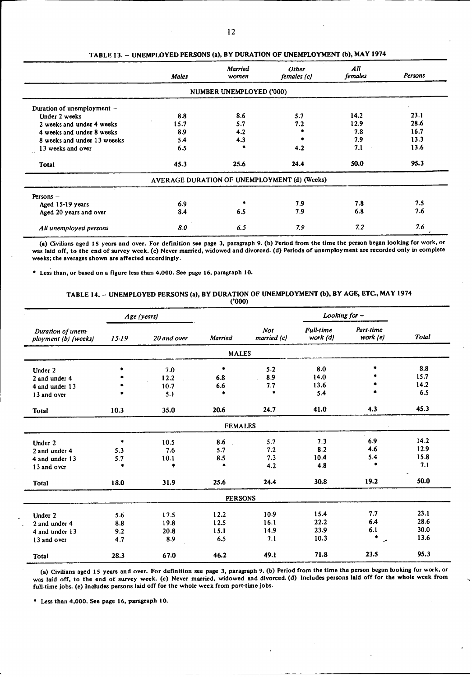| TABLE 13. - UNEMPLOYED PERSONS (a), BY DURATION OF UNEMPLOYMENT (b), MAY 1974 |         |       |     |  |
|-------------------------------------------------------------------------------|---------|-------|-----|--|
|                                                                               | Married | Other | All |  |

|                             | <b>Males</b> | <b>Married</b><br>women  | Other<br>females (c)                         | All<br><i>females</i> | Persons |
|-----------------------------|--------------|--------------------------|----------------------------------------------|-----------------------|---------|
|                             |              | NUMBER UNEMPLOYED ('000) |                                              |                       |         |
| Duration of unemployment -  |              |                          |                                              |                       |         |
| Under 2 weeks               | 8.8          | 8.6                      | 5.7                                          | 14.2                  | 23.1    |
| 2 weeks and under 4 weeks   | 15.7         | 5.7                      | 7.2                                          | 12.9                  | 28.6    |
| 4 weeks and under 8 weeks   | 8.9          | 4.2                      |                                              | 7.8                   | 16.7    |
| 8 weeks and under 13 weeeks | 5.4          | 4.3                      |                                              | 7.9                   | 13.3    |
| 13 weeks and over           | 6.5          |                          | 4.2                                          | 7.1                   | 13.6    |
| <b>Total</b>                | 45.3         | 25.6                     | 24.4                                         | 50.0                  | 95.3    |
|                             |              |                          | AVERAGE DURATION OF UNEMPLOYMENT (d) (Weeks) |                       |         |
| Persons $-$                 |              |                          |                                              |                       |         |
| Aged 15-19 years            | 6.9          |                          | 7.9                                          | 7.8                   | 7.5     |
| Aged 20 years and over      | 8.4          | 6.5                      | 7.9                                          | 6.8                   | 7.6     |
| All unemployed persons      | 8.0          | 6.5                      | 7.9                                          | 7.2                   | 7.6     |

(a) Civilians aged 15 years and over. For definition see page **3,** paragraph **9.** (b) Period from the time the person began looking **for** work, or was laid off, to the end of survey week. (c) Never married, widowed and divorced. (d) Periods of unemployment are recorded only in complete weeks; the averages shown are affected accordingly.

Less than, or based on a figure less than 4,000. See page 16, paragraph **10.**

#### TABLE **14.** - UNEMPLOYED PERSONS (a), BY DURATION OF UNEMPLOYMENT (b), **BY** AGE, ETC, MAY 1974 ('000)

|                                           |           | Age (years) |                |                           | Looking for -                |                         |       |
|-------------------------------------------|-----------|-------------|----------------|---------------------------|------------------------------|-------------------------|-------|
| Duration of unem-<br>ployment (b) (weeks) | $15 - 19$ | 20 and over | <b>Married</b> | <b>Not</b><br>married (c) | <b>Full-time</b><br>work (d) | Part-time<br>work $(e)$ | Total |
|                                           |           |             | <b>MALES</b>   |                           |                              |                         |       |
| Under 2                                   |           | 7.0         | ۰              | 5.2                       | 8.0                          |                         | 8.8   |
| 2 and under 4                             |           | 12.2        | 6.8            | 8.9                       | 14.0                         |                         | 15.7  |
| 4 and under 13                            |           | 10.7        | 6.6            | 7.7                       | 13.6                         |                         | 14.2  |
| 13 and over                               |           | 5.1         | ۰              | ٠                         | 5.4                          | ٠                       | 6.5   |
| <b>Total</b>                              | 10.3      | 35.0        | 20.6           | 24.7                      | 41.0                         | 4.3                     | 45.3  |
|                                           |           |             | <b>FEMALES</b> |                           |                              |                         |       |
| Under 2                                   | $\ast$    | 10.5        | 8.6            | 5.7                       | 7.3                          | 6.9                     | 14.2  |
| 2 and under 4                             | 5.3       | 7.6         | 5.7            | 7.2                       | 8.2                          | 4.6                     | 12.9  |
| 4 and under 13                            | 5.7       | 10.1        | 8.5            | 7.3                       | 10.4                         | 5.4                     | 15.8  |
| 13 and over                               | $\bullet$ | ۰           | $\bullet$      | 4.2                       | 4.8                          | ۰                       | 7.1   |
| <b>Total</b>                              | 18.0      | 31.9        | 25.6           | 24.4                      | 30.8                         | 19.2                    | 50.0  |
|                                           |           |             | <b>PERSONS</b> |                           |                              |                         |       |
| Under 2                                   | 5.6       | 17.5        | 12.2           | 10.9                      | 15.4                         | 7.7                     | 23.1  |
| 2 and under 4                             | 8.8       | 19.8        | 12.5           | 16.1                      | 22.2                         | 6.4                     | 28.6  |
| 4 and under 13                            | 9.2       | 20.8        | 15.1           | 14.9                      | 23.9                         | 6.1                     | 30.0  |
| 13 and over                               | 4.7       | 8.9         | 6.5            | 7.1                       | 10.3                         | $\bullet$<br>╭          | 13.6  |
| <b>Total</b>                              | 28.3      | 67.0        | 46.2           | 49.1                      | 71.8                         | 23.5                    | 95.3  |

(a) Civilians aged **15** years and over. For definition see page 3, paragraph 9. (b) Period from the time the person began looking for work, or was laid off, to the end of **survey** week. (c) Never married, widowed and divorced. (d) Includes persons laid off for the whole week from full-time jobs. (e) Includes persons laid off for the whole week from part-time jobs.

0 Less than 4,000. See page 16, paragraph 10.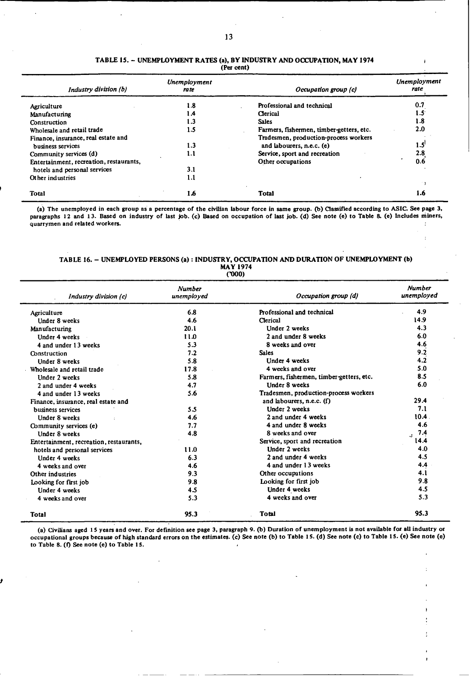#### TABLE 15. - UNEMPLOYMENT RATES (a), BY INDUSTRY AND OCCUPATION, MAY 1974 (Per cent)

 $\overline{1}$ 

 $\ddot{\cdot}$ 

| Industry division (b)                   | Unemployment<br>ra te | Occupation group (c)                     | Unemployment<br>rate |
|-----------------------------------------|-----------------------|------------------------------------------|----------------------|
| Agriculture                             | 1.8                   | Professional and technical               | 0.7                  |
| Manufacturing                           | 1.4                   | Clerical                                 | 1.5                  |
| Construction                            | 1.3                   | <b>Sales</b>                             | 1.8                  |
| Wholesale and retail trade              | 1.5                   | Farmers, fishermen, timber-getters, etc. | 2.0                  |
| Finance, insurance, real estate and     |                       | Tradesmen, production-process workers    |                      |
| business services                       | 1.3                   | and labourers, n.e.c. (e)                | 1.5                  |
| Community services (d)                  | 1.1                   | Service, sport and recreation            | 2.8                  |
| Entertainment, recreation, restaurants, |                       | Other occupations                        | 0.6                  |
| hotels and personal services            | 3.1                   |                                          |                      |
| Other industries                        | 1.1                   |                                          |                      |
|                                         |                       |                                          |                      |
| <b>Total</b>                            | 1.6                   | <b>Total</b>                             | 1.6                  |

(a) The unemployed in each group as a percentage of the civilian labour force in same group. (b) Classified according to ASIC. See page 3, paragraphs 12 and **13.** Based on industry **of** last **job.** (c) Based on occupation of last job. (d) See note (e) to Table **8.** (e) Includes miners, quarrymen and related workers.

#### TABLE 16. - UNEMPLOYED PERSONS (a) : INDUSTRY, OCCUPATION AND DURATION OF UNEMPLOYMENT (b) MAY 1974 **('000)**

| Industry division (c)                   | <b>Number</b><br>unemployed | Occupation group (d)                     | <b>Number</b><br>unemployed |
|-----------------------------------------|-----------------------------|------------------------------------------|-----------------------------|
| Agriculture                             | 6.8                         | Professional and technical               | 4.9                         |
| Under 8 weeks                           | 4.6                         | Clerical                                 | 14.9                        |
| Manufacturing                           | 20.1                        | Under 2 weeks                            | 4.3                         |
| Under 4 weeks                           | 11.0                        | 2 and under 8 weeks                      | 6.0                         |
| 4 and under 13 weeks                    | 5.3                         | 8 weeks and over                         | 4.6                         |
| Construction                            | 7.2                         | <b>Sales</b>                             | 9.2                         |
| Under 8 weeks                           | 5.8                         | Under 4 weeks                            | 4.2                         |
| Wholesale and retail trade              | 17.8                        | 4 weeks and over                         | 5.0                         |
| Under 2 weeks                           | 5.8                         | Farmers, fishermen, timber-getters, etc. | 8.5                         |
| 2 and under 4 weeks                     | 4.7                         | <b>IInder 8 weeks</b>                    | 6.0                         |
| 4 and under 13 weeks                    | 5.6                         | Tradesmen, production-process workers    |                             |
| Finance, insurance, real estate and     |                             | and labourers, n.e.c. $(f)$              | 29.4                        |
| business services                       | 5.5                         | Under 2 weeks                            | 7.1                         |
| Under 8 weeks                           | 4.6                         | 2 and under 4 weeks                      | 10.4                        |
| Community services (e)                  | 7.7                         | 4 and under 8 weeks                      | 4.6                         |
| Under 8 weeks                           | 4.8                         | 8 weeks and over                         | 7.4<br>$\mathbf{r}$         |
| Entertainment, recreation, restaurants, |                             | Service, sport and recreation            | 14.4                        |
| hotels and personal services            | 11.0                        | <b>Under 2 weeks</b>                     | 4.0                         |
| Under 4 weeks                           | 6.3                         | 2 and under 4 weeks                      | 4.5                         |
| 4 weeks and over                        | 4.6                         | 4 and under 13 weeks                     | 4.4                         |
| Other industries                        | 9.3                         | Other occupations                        | 4.1                         |
| Looking for first job                   | 9.8                         | Looking for first job                    | 9.8                         |
| <b>Under 4 weeks</b>                    | 4.5                         | Under 4 weeks                            | 4.5                         |
| 4 weeks and over                        | 5.3                         | 4 weeks and over                         | 5.3                         |
| <b>Total</b>                            | 95.3                        | <b>Total</b>                             | 95.3                        |

(a) Civilians aged **15** years **and** over. For definition see page 3, paragraph **9. (b)** Duration of unemployment is not available for **all** industry or occupational groups because of high standard errors on the estimates. (c) See note (b) to Table **15. (d)** See note (c) to Table 15. (e) See note (e) to Table 8. **(f)** See note (e) to Table 15.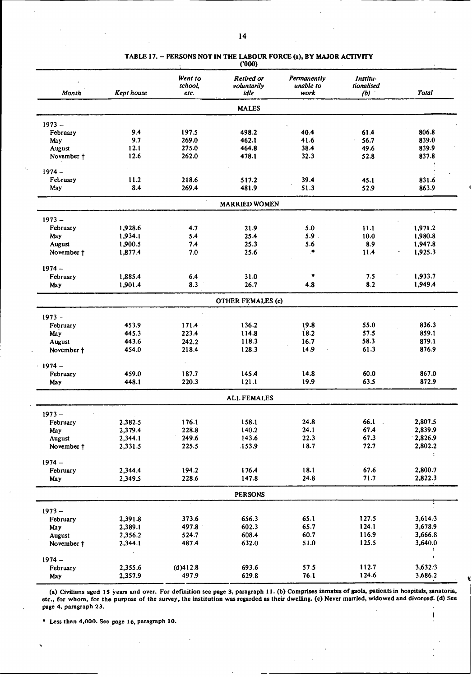|            |                   | Went to              | Retired or               | Permanently       | Institu-          |                                 |
|------------|-------------------|----------------------|--------------------------|-------------------|-------------------|---------------------------------|
| Month      | <b>Kept house</b> | school,<br>etc.      | voluntarily<br>idle      | unable to<br>work | tionalised<br>(b) | <b>Total</b>                    |
|            |                   |                      | <b>MALES</b>             |                   |                   |                                 |
| $1973 -$   |                   |                      |                          |                   |                   |                                 |
| February   | 9.4               | 197.5                | 498.2                    | 40.4              | 61.4              | 806.8                           |
| May        | 9.7               | 269.0                | 462.1                    | 41.6              | 56.7              | 839.0                           |
| August     | 12.1              | 275.0                | 464.8                    | 38.4              | 49.6              | 839.9                           |
| November + | 12.6              | 262.0                | 478.1                    | 32.3              | 52.8              | 837.8                           |
| $1974 -$   |                   |                      |                          |                   |                   |                                 |
| February   | 11.2              | 218.6                | 517.2                    | 39.4              | 45.1              | 831.6                           |
| May        | 8.4               | 269.4                | 481.9                    | 51.3              | 52.9              | 863.9                           |
|            |                   |                      | <b>MARRIED WOMEN</b>     |                   |                   |                                 |
| $1973 -$   |                   |                      |                          |                   |                   |                                 |
| February   | 1,928.6           | 4.7                  | 21.9                     | 5.0               | 11.1              | 1,971.2                         |
| May        | 1,934.1           | 5.4                  | 25.4                     | 5.9               | 10.0              | 1,980.8                         |
| August     | 1,900.5           | 7.4                  | 25.3                     | 5.6               | 8.9               | 1,947.8                         |
| November † | 1,877.4           | 7.0                  | 25.6                     | ۰                 | 11.4              | 1,925.3                         |
| $1974 -$   |                   |                      |                          |                   |                   |                                 |
| February   | 1,885.4           | 6.4                  | 31.0                     |                   | 7.5               | 1,933.7                         |
| May        | 1,901.4           | 8.3                  | 26.7                     | 4.8               | 8.2               | 1,949.4                         |
|            |                   |                      | <b>OTHER FEMALES (c)</b> |                   |                   |                                 |
| $1973 -$   |                   |                      |                          |                   |                   |                                 |
| February   | 453.9             | 171.4                | 136.2                    | 19.8              | 55.0              | 836.3                           |
| May        | 445.3             | 223.4                | 114.8                    | 18.2              | 57.5              | 859.1                           |
| August     | 443.6             | 242.2                | 118.3                    | 16.7              | 58.3              | 879.1                           |
| November † | 454.0             | 218.4                | 128.3                    | 14.9              | 61.3              | 876.9                           |
| $1974 -$   |                   | $\ddot{\phantom{0}}$ |                          |                   |                   |                                 |
| February   | 459.0             | 187.7                | 145.4                    | 14.8              | 60.0              | 867.0                           |
| May        | 448.1             | 220.3                | 121.1                    | 19.9              | 63.5              | 872.9                           |
|            |                   |                      | <b>ALL FEMALES</b>       |                   |                   |                                 |
| $1973 -$   |                   |                      |                          |                   |                   |                                 |
| February   | 2,382.5           | 176.1                | 158.1                    | 24.8              | 66.1              | 2,807.5                         |
| May        | 2,379.4           | 228.8                | 140.2                    | 24.1              | 67.4              | 2,839.9                         |
| August     | 2,344.1           | 249.6                | 143.6                    | 22.3              | 67.3              | $-2,826.9$                      |
| November † | 2,331.5           | 225.5                | 153.9                    | 18.7              | 72.7              | 2,802.2<br>$\ddot{\phantom{a}}$ |
| $1974 -$   |                   |                      |                          |                   |                   |                                 |
| February   | 2,344.4           | 194.2                | 176.4                    | 18.1              | 67.6              | 2,800.7                         |
| May        | 2,349.5           | 228.6                | 147.8                    | 24.8              | 71.7              | 2,822.3                         |
|            |                   |                      | <b>PERSONS</b>           |                   |                   |                                 |
| $1973 -$   |                   |                      |                          |                   |                   |                                 |
| February   | 2,391.8           | 373.6                | 656.3                    | 65.1              | 127.5             | 3,614.3                         |
| May        | 2,389.1           | 497.8                | 602.3                    | 65.7              | 124.1             | 3,678.9                         |
| August     | 2,356.2           | 524.7                | 608.4                    | 60.7              | 116.9             | 3,666.8                         |
| November † | 2,344.1           | 487.4                | 632.0                    | 51.0              | 125.5             | 3,640.0<br>÷                    |
| $1974 -$   |                   |                      |                          |                   |                   | $\pmb{\cdot}$                   |
| February   | 2,355.6           | (d)412.8             | 693.6                    | 57.5              | 112.7             | 3,632.3                         |
| May        | 2,357.9           | 497.9                | 629.8                    | 76.1              | 124.6             | 3,686.2                         |

**TABLE 17. - PERSONS NOT IN THE LABOUR FORCE (a), BY MAJOR ACTIVITY ('000)**

**(a) Civilians aged 15 years and over. For definition see page** 3, **paragraph** I **1. (b) Comprises inmates of gaols, patients in hospitals, sanatoria, etc., for whom, for the purpose of the survey, the institution was regarded as their dwelling. (c) Never married, widowed and divorced. (d) See page 4, paragraph 23.**

**\*** Less **than** 4,000. **See** page **16, paragraph 10.**

 $\mathbf{I}$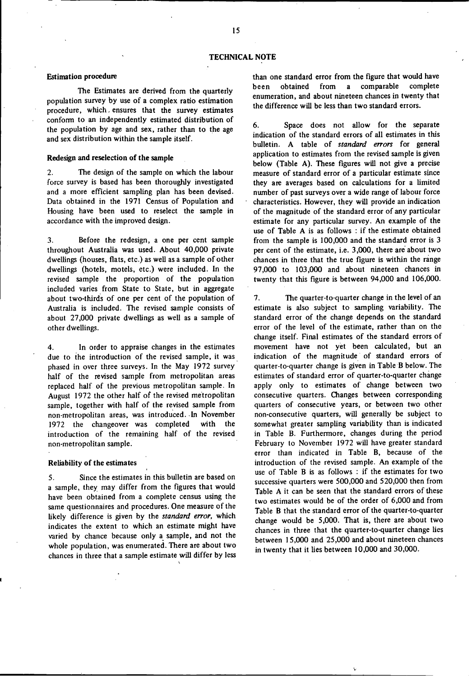#### **Estimation procedure**

The Estimates are derived from the quarterly population survey by use of a complex ratio estimation procedure, which, ensures that the survey estimates conform to an independently estimated distribution of the population by age and sex, rather than to the age and sex distribution within the sample itself.

#### **Redesign and reselection of the sample**

2. The design of the sample on which the labour force survey is based has been thoroughly investigated and a more efficient sampling plan has been devised. Data obtained in the 1971 Census of Population and Housing have been used to reselect the sample in accordance with the improved design.

3. Before the redesign, a one per cent sample throughout Australia was used. About 40,000 private dwellings (houses, flats, etc.) as well as a sample of other dwellings (hotels, motels, etc.) were included. In the revised sample the proportion of the population included varies from State to State, but in aggregate about two-thirds of one per cent of the population of Australia is included. The revised sample consists of about 27,000 private dwellings as well as a sample of other dwellings.

4. In order to appraise changes in the estimates due to the introduction of the revised sample, it was phased in over three surveys. In the May 1972 survey half of the revised sample from metropolitan areas replaced half of the previous metropolitan sample. In August 1972 the other half of the revised metropolitan sample, together with half of the revised sample from non-metropolitan areas, was introduced. In November 1972 the changeover was completed with the introduction of the remaining half of the revised non-metropolitan sample.

#### Reliability **of the estimates**

5. Since the estimates in this bulletin are based on a sample, they may differ from the figures that would have been obtained from a complete census using the same questionnaires and procedures. One measure of the likely difference is given by the *standard error,* which indicates the extent to which an estimate might have varied by chance because only a sample, and not the whole population, was enumerated. There are about two chances in three that a sample estimate will differ by less than one standard error from the figure that would have been obtained from a comparable complete enumeration, and about nineteen chances in twenty that the difference will be less than two standard errors.

6. Space does not allow for the separate indication of the standard errors of all estimates in this bulletin. A table of *standard errors* for general application to estimates from the revised sample is given below (Table A). These figures will not give a precise measure of standard error of a particular estimate since they are averages based on calculations for a limited number of past surveys over a wide range of labour force characteristics. However, they will provide an indication of the magnitude of the standard error of any particular estimate for any particular survey. An example of the use of Table A is as follows : if the estimate obtained from the sample is 100,000 and the standard error is 3 per cent of the estimate, i.e. 3,000, there are about two chances in three that the true figure is within the range 97,000 to 103,000 and about nineteen chances in twenty that this figure is between 94,000 and 106,000.

7. The quarter-to-quarter change in the level of an estimate is also subject to sampling variability. The standard error of the change depends on the standard error of the level of the estimate, rather than on the change itself. Final estimates of the standard errors of movement have not yet been calculated, but an indication of the magnitude of standard errors of quarter-to-quarter change is given in Table B below. The estimates of standard error of quarter-to-quarter change apply only to estimates of change between two consecutive quarters. Changes between corresponding quarters of consecutive years, or between two other non-consecutive quarters, will generally be subject to somewhat greater sampling variability than is indicated in Table B. Furthermore, changes during the period February to November 1972 will have greater standard error than indicated in Table B, because of the introduction of the revised sample. An example of the use of Table B is as follows : if the estimates for two successive quarters were 500,000 and 520,000 then from Table A it can be seen that the standard errors of these two estimates would be of the order of 6,000 and from Table B that the standard error of the quarter-to-quarter change would be 5,000. That is, there are about two chances in three that the quarter-to-quarter change lies between 15,000 and 25,000 and about nineteen chances in twenty that it lies between 10,000 and 30,000.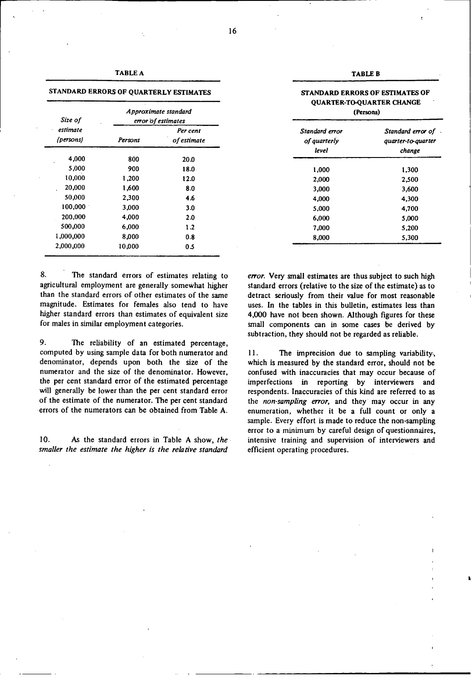| ABL<br>۰.<br>. . |  |
|------------------|--|
|------------------|--|

**STANDARD ERRORS OF QUARTERLY ESTIMATES**

| Size of<br>estimate<br>(persons) | Approximate standard<br>error of estimates |                         |
|----------------------------------|--------------------------------------------|-------------------------|
|                                  | Persons                                    | Per cent<br>of estimate |
| 4,000                            | 800                                        | 20.0                    |
| 5,000                            | 900                                        | 18.0                    |
| 10,000                           | 1,200                                      | 12.0                    |
| 20,000                           | 1,600                                      | 8.0                     |
| 50,000                           | 2,300                                      | 4.6                     |
| 100,000                          | 3.000                                      | 3.0                     |
| 200,000                          | 4.000                                      | 2.0                     |
| 500,000                          | 6.000                                      | 1.2                     |
| 1,000,000                        | 8.000                                      | 0.8                     |
| 2,000,000                        | 10,000                                     | 0.5                     |

**(Persons)**

| Standard error        | Standard error of .<br>quarter-to-quarter |  |
|-----------------------|-------------------------------------------|--|
| of quarterly<br>level |                                           |  |
|                       | change                                    |  |
| 1,000                 | 1,300                                     |  |
| 2.000                 | 2,500                                     |  |
| 3,000                 | 3,600                                     |  |
| 4,000                 | 4,300                                     |  |
| 5.000                 | 4,700                                     |  |
| 6,000                 | 5.000                                     |  |
| 7,000                 | 5.200                                     |  |
| 8,000                 | 5,300                                     |  |

8. The standard errors of estimates relating to agricultural employment are generally somewhat higher than the standard errors of other estimates of the same magnitude. Estimates for females also tend to have higher standard errors than estimates of equivalent size for males in similar employment categories.

9. The reliability of an estimated percentage, computed by using sample data for both numerator and denominator, depends upon both the size of the numerator and the size of the denominator. However, the per cent standard error of the estimated percentage will generally be lower than the per cent standard error of the estimate of the numerator. The per cent standard errors of the numerators can be obtained from Table A.

10. As the standard **errors** in Table A show, *the smaller the estimate the higher is the relative standard*

*error.* Very small estimates are thus subject to such high standard errors (relative to the size of the estimate) as to detract seriously from their value for most reasonable **uses. In the tables in this bulletin, estimates less than 4,000** have not been shown. Although figures for these small components can in some cases be derived by subtraction, they should not be regarded as reliable.

11. The imprecision due to sampling variability, which is measured by the standard error, should not be confused with inaccuracies that may occur because of imperfections in reporting by interviewers and respondents. Inaccuracies of this kind are referred to as the *non-sampling error,* and they may occur in any enumeration, whether it be a full count or only a sample. Every effort is made to reduce the non-sampling error to a minimum by careful design of questionnaires, intensive training and supervision of interviewers and efficient operating procedures.

**TABLE B**

**STANDARD ERRORS OF ESTIMATES OF QUARTER-TO-QUARTER CHANGE**